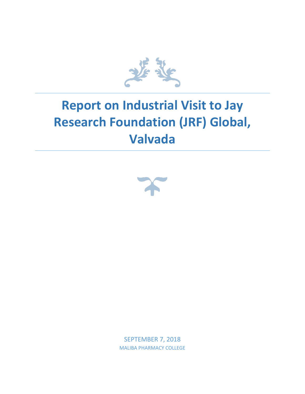

## **Report on Industrial Visit to Jay Research Foundation (JRF) Global, Valvada**



SEPTEMBER 7, 2018 MALIBA PHARMACY COLLEGE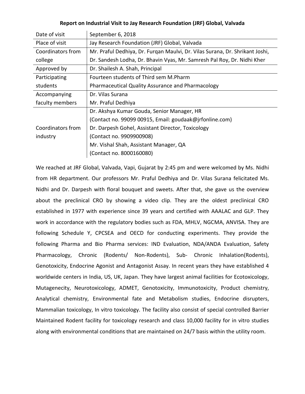| Report on Industrial Visit to Jay Research Foundation (JRF) Global, Valvada |  |  |
|-----------------------------------------------------------------------------|--|--|
|-----------------------------------------------------------------------------|--|--|

| Date of visit     | September 6, 2018                                                            |
|-------------------|------------------------------------------------------------------------------|
| Place of visit    | Jay Research Foundation (JRF) Global, Valvada                                |
| Coordinators from | Mr. Praful Dedhiya, Dr. Furgan Maulvi, Dr. Vilas Surana, Dr. Shrikant Joshi, |
| college           | Dr. Sandesh Lodha, Dr. Bhavin Vyas, Mr. Samresh Pal Roy, Dr. Nidhi Kher      |
| Approved by       | Dr. Shailesh A. Shah, Principal                                              |
| Participating     | Fourteen students of Third sem M.Pharm                                       |
| students          | Pharmaceutical Quality Assurance and Pharmacology                            |
| Accompanying      | Dr. Vilas Surana                                                             |
| faculty members   | Mr. Praful Dedhiya                                                           |
|                   | Dr. Akshya Kumar Gouda, Senior Manager, HR                                   |
|                   | (Contact no. 99099 00915, Email: goudaak@jrfonline.com)                      |
| Coordinators from | Dr. Darpesh Gohel, Assistant Director, Toxicology                            |
| industry          | (Contact no. 9909900908)                                                     |
|                   | Mr. Vishal Shah, Assistant Manager, QA                                       |
|                   | (Contact no. 8000160080)                                                     |

We reached at JRF Global, Valvada, Vapi, Gujarat by 2:45 pm and were welcomed by Ms. Nidhi from HR department. Our professors Mr. Praful Dedhiya and Dr. Vilas Surana felicitated Ms. Nidhi and Dr. Darpesh with floral bouquet and sweets. After that, she gave us the overview about the preclinical CRO by showing a video clip. They are the oldest preclinical CRO established in 1977 with experience since 39 years and certified with AAALAC and GLP. They work in accordance with the regulatory bodies such as FDA, MHLV, NGCMA, ANVISA. They are following Schedule Y, CPCSEA and OECD for conducting experiments. They provide the following Pharma and Bio Pharma services: IND Evaluation, NDA/ANDA Evaluation, Safety Pharmacology, Chronic (Rodents/ Non-Rodents), Sub- Chronic Inhalation(Rodents), Genotoxicity, Endocrine Agonist and Antagonist Assay. In recent years they have established 4 worldwide centers in India, US, UK, Japan. They have largest animal facilities for Ecotoxicology, Mutagenecity, Neurotoxicology, ADMET, Genotoxicity, Immunotoxicity, Product chemistry, Analytical chemistry, Environmental fate and Metabolism studies, Endocrine disrupters, Mammalian toxicology, In vitro toxicology. The facility also consist of special controlled Barrier Maintained Rodent facility for toxicology research and class 10,000 facility for in vitro studies along with environmental conditions that are maintained on 24/7 basis within the utility room.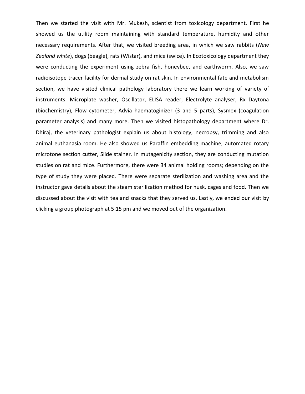Then we started the visit with Mr. Mukesh, scientist from toxicology department. First he showed us the utility room maintaining with standard temperature, humidity and other necessary requirements. After that, we visited breeding area, in which we saw rabbits (*New Zealand white*), dogs (beagle), rats (Wistar), and mice (swice). In Ecotoxicology department they were conducting the experiment using zebra fish, honeybee, and earthworm. Also, we saw radioisotope tracer facility for dermal study on rat skin. In environmental fate and metabolism section, we have visited clinical pathology laboratory there we learn working of variety of instruments: Microplate washer, Oscillator, ELISA reader, Electrolyte analyser, Rx Daytona (biochemistry), Flow cytometer, Advia haematoginizer (3 and 5 parts), Sysmex (coagulation parameter analysis) and many more. Then we visited histopathology department where Dr. Dhiraj, the veterinary pathologist explain us about histology, necropsy, trimming and also animal euthanasia room. He also showed us Paraffin embedding machine, automated rotary microtone section cutter, Slide stainer. In mutagenicity section, they are conducting mutation studies on rat and mice. Furthermore, there were 34 animal holding rooms; depending on the type of study they were placed. There were separate sterilization and washing area and the instructor gave details about the steam sterilization method for husk, cages and food. Then we discussed about the visit with tea and snacks that they served us. Lastly, we ended our visit by clicking a group photograph at 5:15 pm and we moved out of the organization.